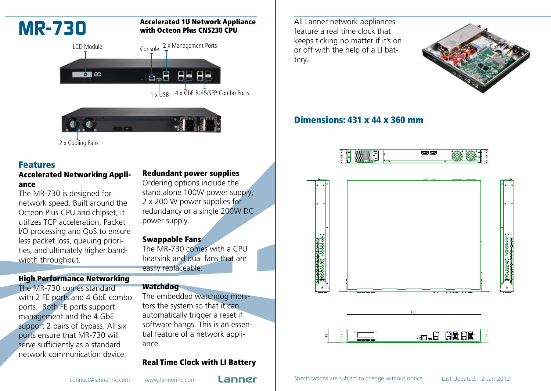

2 x Cooling Fans

# Features

### Accelerated Networking Appliance

The MR-730 is designed for network speed. Built around the Octeon Plus CPU and chipset, it utilizes TCP acceleration, Packet I/O processing and QoS to ensure less packet loss, queuing priorities, and ultimately higher bandwidth throughput.

## High Performance Networking

The MR-730 comes standard with 2 FE ports and 4 GbE combo ports. Both FE ports support management and the 4 GbE support 2 pairs of bypass. All six ports ensure that MR-730 will serve sufficiently as a standard network communication device.

#### Redundant power supplies

Ordering options include the stand alone 100W power supply, 2 x 200 W power supplies for redundancy or a single 200W DC power supply.

#### Swappable Fans

The MR-730 comes with a CPU heatsink and dual fans that are easily replaceable.

#### **Watchdog**

The embedded watchdog monitors the system so that it can automatically trigger a reset if software hangs. This is an essential feature of a network appliance.

### Real Time Clock with LI Battery

All Lanner network appliances feature a real time clock that keeps ticking no matter if it's on or off with the help of a LI battery.



# Dimensions: 431 x 44 x 360 mm





connect@lannerinc.com www.lannerinc.com **Lanner** Specifications are subject to change without notice Last Updated: 12-Jan-2012